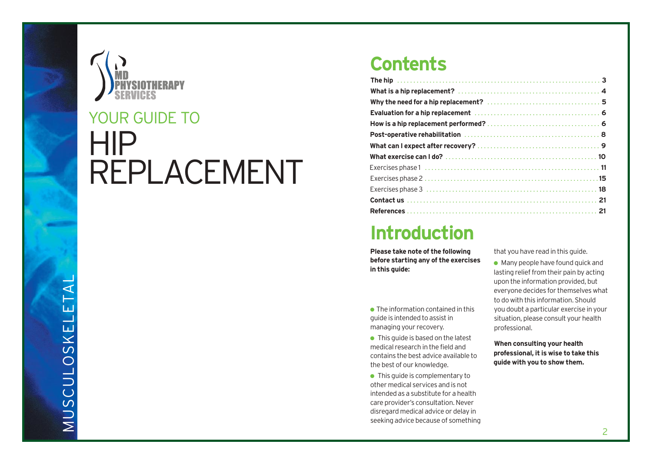

# HIP REPLACEMENT YOUR GUIDE TO

### **Contents**

### **Introduction**

**Please take note of the following before starting any of the exercises in this guide:**

 $\bullet$  The information contained in this guide is intended to assistin managing your recovery.

● This quide is based on the latest medical research in the field and contains the best advice available to the best of our knowledge.

● This guide is complementary to other medical services and is not intendedas a substitute for a health care provider's consultation.Never disregard medical advice or delay in seeking advice because of something that you have read in this guide.

 $\bullet$  Many people have found quick and lasting relief from their pain by acting upon the information provided, but everyone decides for themselves what to do with this information. Should you doubt a particular exercise in your situation, please consult your health professional.

**When consulting your health professional, it is wise to take this guide with you to show them.**

 $\mathbf{\Sigma}% _{T}$  $\Box$  $\mathcal{S}_{\mathcal{S}}$  $\bigcup$  $\Box$ L O  $\mathcal{S}_{\mathcal{S}}$  $\leq$  $\Box$ L  $\Box$  $\mathord{\text{--}}$  $\blacktriangleleft$ L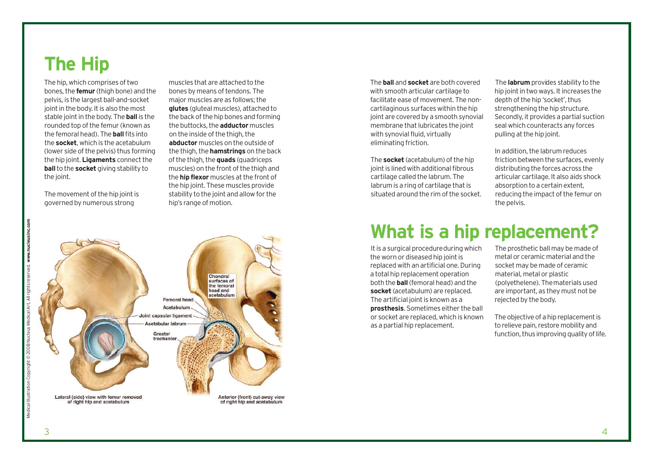### **The Hip**

The hip, which comprises of two bones,the **femur** (thigh bone) and the pelvis, is the largest ball-and-socket joint in the body. It is also the most stable joint in the body. The **ball** is the rounded top of the femur (known as the femoral head). The **ball**fits into the **socket**, which is the acetabulum (lower side of the pelvis) thus forming the hip joint. **Ligaments** connect the **ball**to the **socket** giving stability to the joint.

The movement of the hip joint is governed by numerous strong

muscles that are attached to the bones by means of tendons. The major muscles are as follows; the **glutes** (gluteal muscles), attached to the back of the hip bones and forming the buttocks,the **adductor** muscles on the inside of the thigh, the **abductor** muscles on the outside of the thigh, the **hamstrings** on the back ofthe thigh,the **quads** (quadriceps muscles) on the front of the thigh and the **hip flexor** muscles at the front of the hip joint. These muscles provide stability to the joint and allow for the hip's range of motion.



The **ball** and **socket** are both covered with smooth articular cartilage to facilitate ease of movement. The noncartilaginous surfaces within the hip joint are covered by a smooth synovial membrane that lubricates the joint with synovial fluid, virtually eliminating friction.

The **socket** (acetabulum) of the hip joint is lined with additional fibrous cartilage called the labrum. The labrum is a ring of cartilage that is situated around the rim of the socket.

The **labrum** provides stability to the hip joint in two ways. It increases the depth of the hip 'socket', thus strengthening the hip structure. Secondly, it provides a partial suction seal which counteracts any forces pulling at the hip joint.

In addition, the labrum reduces friction between the surfaces, evenly distributing the forces across the articular cartilage. It also aids shock absorption to a certain extent, reducing the impact of the femur on the pelvis.

### **What is a hip replacement?**

It is a surgical procedure during which the worn or diseased hip joint is replaced with an artificial one. During a total hip replacement operation both the **ball**(femoral head) and the **socket** (acetabulum) are replaced. The artificial joint is known as a **prosthesis**. Sometimes either the ball or socket are replaced, which is known as a partial hip replacement.

The prosthetic ball may be made of metal or ceramic material and the socket may be made of ceramic material, metal or plastic (polyethelene). Thematerials used are important, as they must not be rejected by the body.

The objective of a hip replacement is to relieve pain, restore mobility and function, thus improving quality of life.

3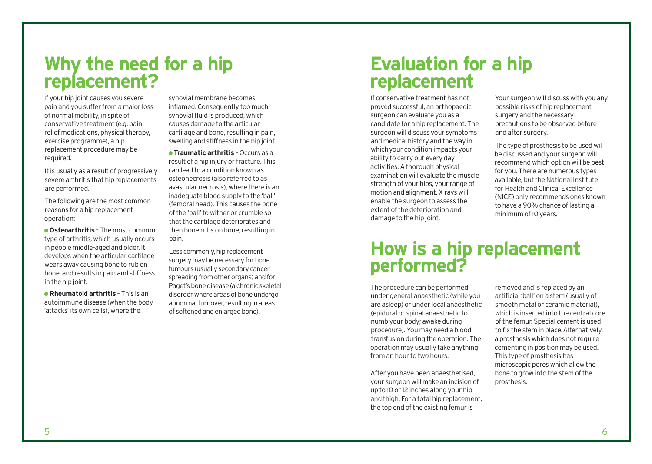### **Why the need for a hip replacement?**

If your hip joint causes you severe pain and you suffer from a major loss of normal mobility, in spite of conservative treatment (e.g. pain relief medications, physical therapy, exercise programme), a hip replacement procedure may be required.

It is usually as a result of progressively severe arthritis that hip replacements are performed.

The following are the most common reasons for a hip replacement operation:

● **Osteoarthritis** – The most common type of arthritis, which usually occurs in people middle-aged and older. It develops when the articular cartilage wears away causing bone to rub on bone, and results in pain and stiffness in the hip joint.

● **Rheumatoid arthritis** – This is an autoimmune disease (when the body 'attacks' its own cells), where the

synovial membrane becomes inflamed. Consequently too much synovial fluid is produced, which causes damage to the articular cartilage and bone, resulting in pain, swelling and stiffness in the hip joint.

● **Traumatic arthritis** – Occurs as a result of a hip injury or fracture. This can lead to a condition known as osteonecrosis (also referred to as avascular necrosis), where there is an inadequate blood supply to the 'ball' (femoral head). This causes the bone ofthe 'ball'to wither or crumble so that the cartilage deteriorates and then bone rubs on bone, resulting in pain.

Less commonly, hip replacement surgery may be necessary for bone tumours (usually secondary cancer spreading from other organs) and for Paget's bone disease (a chronic skeletal disorder where areas of bone undergo abnormal turnover, resulting in areas of softened and enlarged bone).

### **Evaluation for a hip replacement**

If conservative treatment has not proved successful, an orthopaedic surgeon can evaluate you as a candidate for a hip replacement. The surgeon will discuss your symptoms and medical history and the way in whichyour condition impacts your ability to carry out every day activities.Athorough physical examination will evaluate the muscle strength of your hips, your range of motion and alignment.X-rays will enable the surgeon to assess the extent of the deterioration and damage to the hip joint.

Your surgeon will discuss with you any possible risks of hip replacement surgery and the necessary precautions to be observed before and after surgery.

The type of prosthesis to be used will be discussed and your surgeon will recommend which option will be best for you. There are numerous types available, but the National Institute for Health and Clinical Excellence (NICE) only recommends ones known to have a 90% chance of lasting a minimum of 10 years.

### **How is a hip replacement performed?**

The procedure can be performed under general anaesthetic (while you are asleep) or under local anaesthetic (epidural or spinal anaesthetic to numb your body; awake during procedure).You may need a blood transfusion during the operation. The operation may usually take anything from an hour to two hours.

After you have been anaesthetised, your surgeon will make an incision of up to 10or 12 inches along your hip and thigh. For a total hip replacement, the top end of the existing femur is

removed and is replaced by an artificial 'ball' on a stem (usually of smooth metal or ceramic material), which is inserted into the central core of the femur. Special cement is used to fix the stem in place. Alternatively, a prosthesis which does not require cementing in position may be used. This type of prosthesis has microscopic pores which allow the bone to grow into the stem of the prosthesis.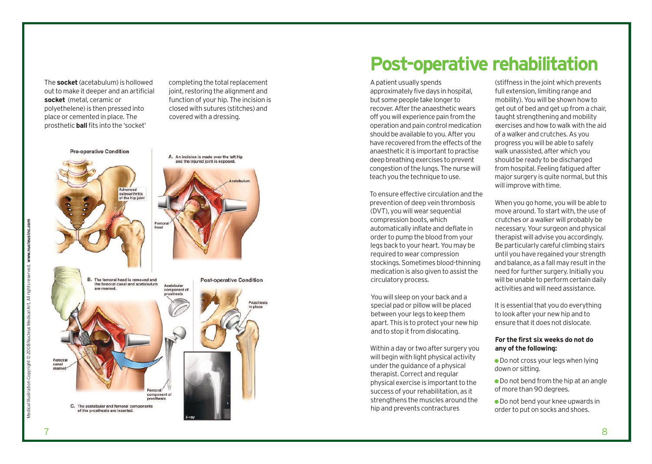he socket (acetabulum) is hollowed out to make it deeper and an artificial **socket** (metal, ceramic or polyethelene) is then pressed into place or cemented in place. The prosthetic **ball** fits into the 'socket'

**Pre-operative Condition** 

completing the total replacement joint, restoring the alignment and function of your hip. The incision is c l o s e d w i t h s u t u r e s ( s t i t c h e s ) a n d covered with a dressing.

TION<br>01<br>Phippi A. An incision is made over the left hip and the injured joint is exposed. Advanced osteoarthritis of the hin joint hand The femoral head is removed and **Post-operative Condition** the femoral canal and acetabulum Acetabular component of Prosthesis n place Femora canal component of prosthesis C. The scetchular and femoral components of the prosthesis are inserted.

### Post-operative rehabilitation

A patient usually spends approximately five days in hospital, but some people take longer to recover. After the anaesthetic wears off you will experience pain from the operation and pain control medication should be available to you. After you have recovered from the effects of the anaesthetic it is important to practise deep breathing exercises to prevent congestion of the lungs. The nurse will teach you the technique to use.

To ensure effective circulation and the prevention of deep vein thrombosis (DVT), you will wear sequential compression boots, which automatically inflate and deflate in order to pump the blood from your legs back to your heart. You may be required to wear compression stockings. Sometimes blood-thinning medication is also given to assist the circulatory process.

You will sleep on your back and a special pad or pillow will be placed between your legs to keep them apart. This is to protect your new hip and to stop it from dislocating.

Within a day or two after surgery you will begin with light physical activity under the guidance of a physical therapist. Correct and regular physical exercise is important to the success of your rehabilitation, as it strengthens the muscles around the hip and prevents contractures

(stiffness in the joint which prevents full extension, limiting range and mobility). You will be shown how to get out of bed and get up from a chair, taught strengthening and mobility exercises and how to walk with the aid of a walker and crutches. As you progress you will be able to safely walk unassisted, after which you should be ready to be discharged from hospital. Feeling fatigued after major surgery is quite normal, but this will improve with time.

When you go home, you will be able to move around. To start with, the use of crutches or a walker will probably be necessary. Your surgeon and physical therapist will advise you accordingly. Be particularly careful climbing stairs until you have regained your strength and balance, as a fall may result in the need for further surgery. Initially you will be unable to perform certain daily activities and will need assistance.

It is essential that you do everything to look after your new hip and to ensure that it does not dislocate.

#### For the first six weeks do not do any of the following:

- Do not cross your legs when lying down or sitting.
- Do not bend from the hip at an angle of more than 90 degrees.

• Do not bend your knee upwards in order to put on socks and shoes.

Medical IllustrationCopyright © 2008NucleusMedicalArt,All rights reserved. **www.nucleusinc.com**

Illustration Copyright © 2008 Nucleus Medical Art, All rights rese

www.nucleusinc.com

yed.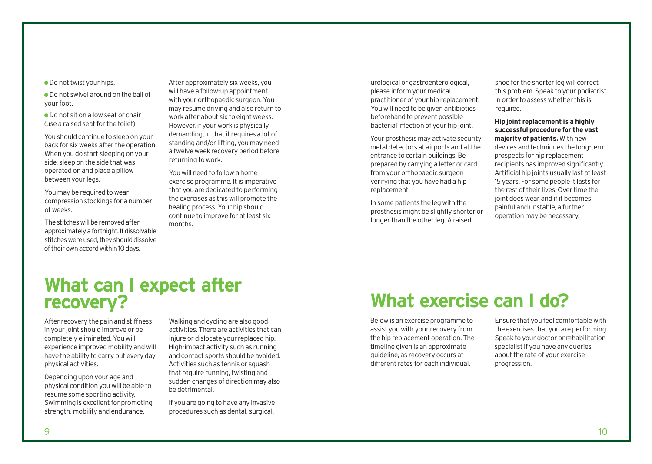● Do not swivel around on the ball of your foot.

● Do not sit on a low seat or chair  $(use a raised seat for the tablet).$ 

You should continue to sleep on your back for six weeks after the operation. When you do start sleeping on your side, sleep on the side that was operated on and place a pillow between your legs.

You may be required to wear compression stockings for a number of weeks.

The stitches will be removed after approximately a fortnight. If dissolvable stitches were used, they should dissolve of their own accord within 10 days.

After approximately six weeks, you will have a follow-up appointment with your orthopaedic surgeon.You may resume driving and also return to work after about six to eight weeks. However, if your work is physically demanding, in that it requires a lot of standing and/or lifting, you may need a twelve week recovery period before returning to work.

You will need to follow a home exercise programme. It is imperative that youare dedicated to performing the exercises as this will promote the healing process.Your hip should continue to improve for atleast six months.

urological or gastroenterological, please inform your medical practitioner of your hip replacement. You will need to be given antibiotics beforehand to prevent possible bacterial infection of your hip joint.

Your prosthesis may activate security metal detectors at airports and at the entrance to certain buildings.Be prepared by carrying a letter or card from your orthopaedic surgeon verifying that you have had a hip replacement.

In some patients the leg with the prosthesis might be slightly shorter or longer than the other leg. A raised

shoe for the shorter leg will correct this problem. Speak to your podiatrist in order to assess whether this is required.

#### **Hip joint replacement is a highly successful procedure for the vast majority of patients.** With new devices and techniques the long-term prospects for hip replacement recipients has improved significantly. Artificial hip joints usually last at least 15 years. For some people it lasts for the rest of their lives. Over time the joint does wear and if it becomes painful and unstable, a further operation may be necessary.

### **What can I expect after recovery?**

After recovery the pain and stiffness in your joint should improve or be completely eliminated.You will experience improved mobility and will have the ability to carry out every day physical activities.

Depending upon your age and physical condition you will be able to resume some sporting activity. Swimming is excellent for promoting strength, mobility and endurance.

Walking and cycling are also good activities. There are activities that can injure or dislocate your replaced hip. High-impact activity such as running and contact sports should be avoided. Activities such as tennis or squash that require running, twisting and sudden changes of direction may also be detrimental.

If you are going to have any invasive procedures such as dental, surgical,

## **What exercise can I do?**

Below is an exercise programme to assist you with your recovery from the hip replacement operation. The timeline given is an approximate guideline, as recovery occurs at different rates for each individual.

Ensure that you feel comfortable with the exercises that you are performing. Speak to your doctor or rehabilitation specialist if you have any queries about the rate of your exercise progression.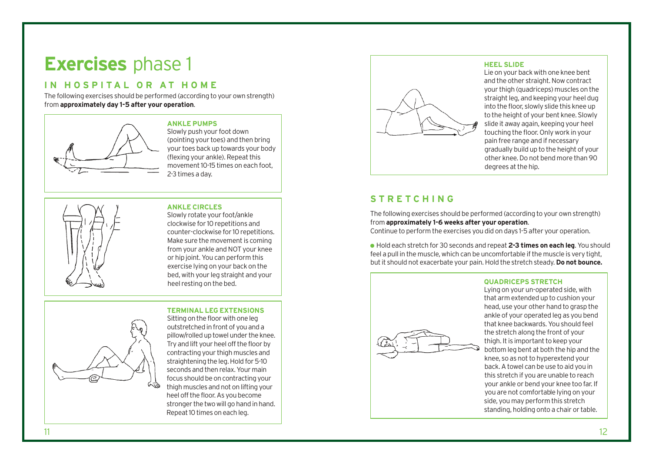## **Exercises** phase 1

### **I N H O S P I T A L O R A T H O M E**

The following exercises should be performed (according to your own strength) from **approximately day 1-5 after your operation**.



#### **ANKLE PUMPS**

Slowly push your foot down (pointing your toes) and then bring your toes back up towards your body (flexing your ankle). Repeat this movement 10-15 times on each foot. 2-3 times a day.



#### **ANKLE CIRCLES**

Slowly rotate your foot/ankle clockwise for 10 repetitions and counter-clockwise for 10 repetitions. Make sure the movement is coming from your ankle and NOT your knee or hip joint.You can perform this exercise lying on your back on the bed, with your leg straight and your heel resting on the bed.

### **TERMINAL LEG EXTENSIONS**



Sitting on the floor with one leg outstretched in front of you and a pillow/rolled up towel under the knee. Try and lift your heel off the floor by contracting your thigh muscles and straightening the leg. Hold for 5-10 seconds and then relax.Your main focus should be on contracting your thigh muscles and not on lifting your heel off the floor. As you become stronger the twowill go hand in hand. Repeat 10 times on each leg.



#### **HEEL SLIDE**

Lie on your back with one knee bent and the other straight. Now contract your thigh (quadriceps) muscles on the straight leg, and keeping your heel dug into the floor, slowly slide this knee up to the height of your bent knee. Slowly slide it away again, keeping your heel touching the floor. Only work in your pain free range and if necessary gradually build up to the height of your other knee.Do not bend more than 90 degrees at the hip.

### **S T R E T C H I N G**

The following exercises should be performed (according to your own strength) from **approximately 1-6 weeks after your operation**.

Continue to perform the exercises you did on days 1-5 after your operation.

● Hold each stretch for 30seconds and repeat**2-3 times on each leg**.You should feel a pull in the muscle, which can be uncomfortable if the muscle is very tight, butit should not exacerbate your pain.Hold the stretch steady. **Do not bounce.**



Lying on your un-operated side, with that arm extended up to cushion your head, use your other hand to grasp the ankle of your operated leg as you bend that knee backwards.You should feel the stretch along the front of your thigh. It is important to keep your bottom leg bent at both the hip and the knee, so as not to hyperextend your back.Atowel can be use to aid you in this stretch if you are unable to reach your ankle or bend your knee too far. If you are not comfortable lying on your side, you may perform this stretch standing, holding onto a chair or table.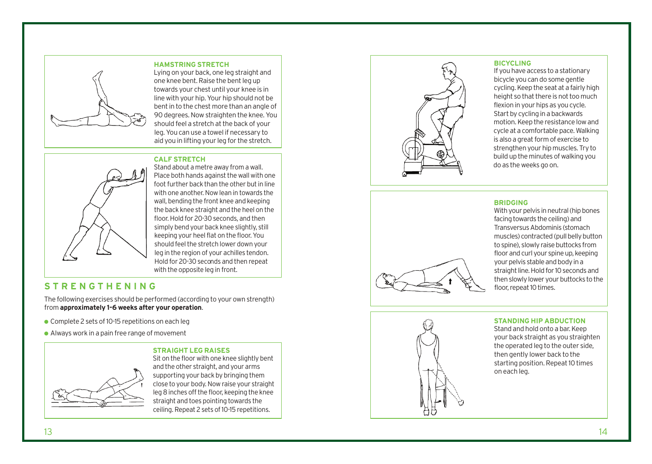

**HAMSTRING STRETCH** Lying on your back, one leg straight and one knee bent. Raise the bent leg up towards your chest until your knee is in line with your hip. Your hip should not be bent in to the chest more than an angle of 90 degrees. Now straighten the knee. You should feel a stretch at the back of your leg. You can use a towel if necessary to aid you in lifting your leg for the stretch.

#### **CALF STRETCH**



Stand about a metre away from a wall. Place both hands against the wall with one foot further back than the other but in line with one another. Now lean in towards the wall, bending the front knee and keeping the back knee straight and the heel on the floor. Hold for 20-30 seconds, and then simply bend your back knee slightly, still keeping your heel flat on the floor. You should feel the stretch lower down your leg in the region of your achilles tendon. Hold for 20-30 seconds and then repeat with the opposite leg in front.

### **STRENGTHENING**

The following exercises should be performed (according to your own strength) from approximately 1-6 weeks after your operation.

- Complete 2 sets of 10-15 repetitions on each leg
- Always work in a pain free range of movement

**STRAIGHT LEG RAISES** Sit on the floor with one knee slightly bent and the other straight, and your arms supporting your back by bringing them close to your body. Now raise your straight leg 8 inches off the floor, keeping the knee straight and toes pointing towards the ceiling. Repeat 2 sets of 10-15 repetitions.



#### **BICYCLING**

If you have access to a stationary bicycle you can do some gentle cycling. Keep the seat at a fairly high height so that there is not too much flexion in your hips as you cycle. Start by cycling in a backwards motion. Keep the resistance low and cycle at a comfortable pace. Walking is also a great form of exercise to strengthen your hip muscles. Try to build up the minutes of walking you do as the weeks go on.

#### **BRIDGING**

facing towards the ceiling) and Transversus Abdominis (stomach muscles) contracted (pull belly button to spine), slowly raise buttocks from floor and curl your spine up, keeping your pelvis stable and body in a straight line. Hold for 10 seconds and then slowly lower your buttocks to the floor, repeat 10 times.

With your pelvis in neutral (hip bones

### **STANDING HIP ABDUCTION**

Stand and hold onto a bar. Keep your back straight as you straighten the operated leg to the outer side, then gently lower back to the starting position. Repeat 10 times on each leg.

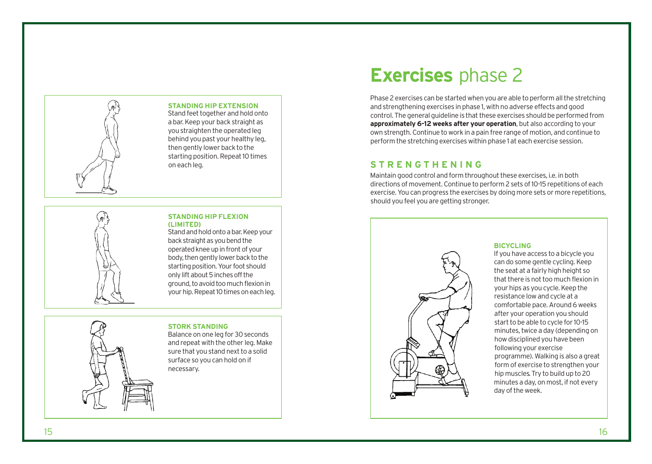

#### **STANDING HIP EXTENSION**

Stand feet together and hold onto a bar. Keep your back straight as you straighten the operated leg behind you past your healthy leg, then gently lower back to the starting position. Repeat 10 times on each leg.

#### **STANDING HIP FLEXION ( L I M I T E D )**

Stand and hold onto a bar. Keep your back straight as you bend the operated knee up in front of your body, then gently lower back to the starting position. Your foot should only lift about 5 inches off the ground, to avoid too much flexion in your hip. Repeat 10 times on each leg.

#### **STORK STANDING**

Balance on one leg for 30 seconds and repeat with the other leg. Make sure that you stand next to a solid surface so you can hold on if necessary.

## **Exercises** phase 2

Phase 2 exercises can be started when you are able to perform all the stretching and strengthening exercises in phase 1, with no adverse effects and good control. The general guideline is that these exercises should be performed from approximately 6-12 weeks after your operation, but also according to your own strength. Continue to work in a pain free range of motion, and continue to perform the stretching exercises within phase 1 at each exercise session.

### STRENGTHENING

Maintain good control and form throughout these exercises, i.e. in both directions of movement. Continue to perform 2 sets of 10-15 repetitions of each exercise. You can progress the exercises by doing more sets or more repetitions, should you feel you are getting stronger.



#### **BICYCLING**

If you have access to a bicycle you can do some gentle cycling. Keep the seat at a fairly high height so that there is not too much flexion in your hips as you cycle. Keep the resistance low and cycle at a comfortable pace. Around 6 weeks after your operation you should start to be able to cycle for 10-15 minutes, twice a day (depending on how disciplined you have been following your exercise programme). Walking is also a great form of exercise to strengthen your hip muscles. Try to build up to 20 minutes a day, on most, if not every day of the week.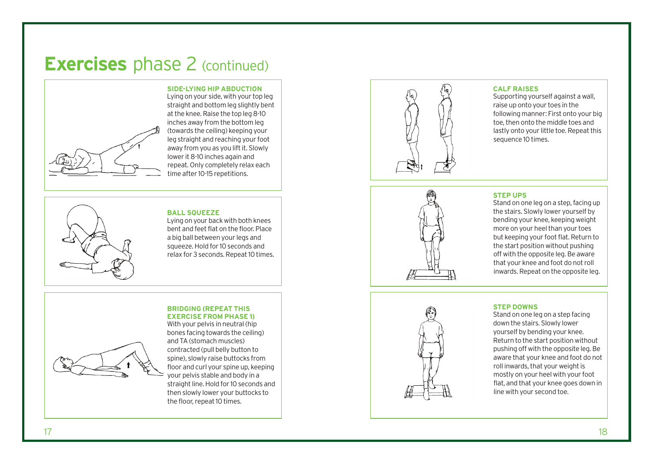### **Exercises** phase 2 (continued)



SIDE-LYING HIP ABDUCTION

Lying on your side, with your top leg straight and bottom leg slightly bent at the knee. Raise the top leg 8-10 inches away from the bottom leg (towards the ceiling) keeping your leg straight and reaching your foot away from you as you lift it. Slowly lower it 8-10 inches again and repeat. Only completely relax each time after 10-15 repetitions.

**BALL SQUEEZE** 

Lying on your back with both knees bent and feet flat on the floor. Place a big ball between your legs and squeeze. Hold for 10 seconds and relax for 3 seconds. Repeat 10 times.

#### **BRIDGING (REPEAT THIS EXERCISE FROM PHASE 1)**



With your pelvis in neutral (hip bones facing towards the ceiling) and TA (stomach muscles) contracted (pull belly button to spine), slowly raise buttocks from floor and curl your spine up, keeping your pelvis stable and body in a straight line. Hold for 10 seconds and then slowly lower your buttocks to the floor, repeat 10 times.



#### **CALF RAISES**

Supporting yourself against a wall, raise up onto your toes in the following manner: First onto your big toe, then onto the middle toes and lastly onto your little toe. Repeat this sequence 10 times.



#### **STEP UPS**

Stand on one leg on a step, facing up the stairs. Slowly lower yourself by bending your knee, keeping weight more on your heel than your toes but keeping your foot flat. Return to the start position without pushing off with the opposite leg. Be aware that your knee and foot do not roll inwards. Repeat on the opposite leg.

#### **STEP DOWNS**

Stand on one leg on a step facing down the stairs. Slowly lower yourself by bending your knee. Return to the start position without pushing off with the opposite leg. Be aware that your knee and foot do not roll inwards, that your weight is mostly on your heel with your foot flat, and that your knee goes down in line with your second toe.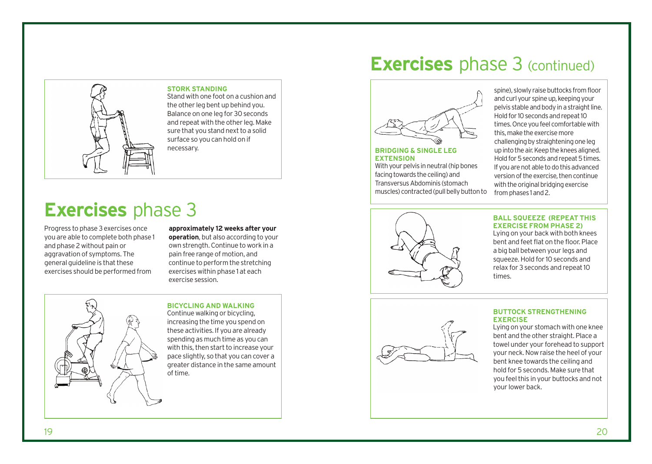

**STORK STANDING** Stand with one foot on a cushion and the other leg bent up behind you. Balance on one leg for 30 seconds and repeat with the other leg.Make sure that you stand next to a solid surface so you can hold on if necessary.

## **Exercises** phase 3

Progress to phase 3 exercises once you are able to complete both phase 1 and phase 2 without pain or aggravation of symptoms. The general quideline is that these exercises should be performed from

#### **approximately 12 weeks after your operation**, but also according to your own strength.Continue to work in a pain free range of motion, and continue to perform the stretching exercises within phase 1 at each exercise session.



#### **BICYCLING AND WALKING**

Continue walking or bicycling, increasing the time you spend on these activities. If you are already spending as much time as you can with this, then start to increase your pace slightly, so that you can cover a greater distance in the same amount of time.

### **Exercises** phase 3 (continued)



#### **BRIDGING & SINGLE LEG EXTENSION**

With your pelvis in neutral (hip bones facing towards the ceiling) and TransversusAbdominis (stomach muscles) contracted (pull belly button to

spine), slowly raise buttocks from floor and curl your spine up, keeping your pelvis stable and body in a straight line. Hold for 10 seconds and repeat 10 times. Once you feel comfortable with this, make the exercise more challenging by straightening one leg up into the air. Keep the knees aligned. Hold for 5 seconds and repeat 5 times. Ifyouarenotabletodothisadvanced version of the exercise, then continue with the original bridging exercise from phases 1 and 2.



#### **BALL SQUEEZE (REPEAT THIS EXERCISE FROM PHASE 2)**

Lying on your back with both knees bent and feet flat on the floor. Place a big ball between your legs and squeeze. Hold for 10 seconds and relax for 3 seconds and repeat 10 times.



#### **BUTTOCK STRENGTHENING EXERCISE**

Lying on your stomach with one knee bent and the other straight. Place a towel under your forehead to support your neck.Now raise the heel of your bent knee towards the ceiling and hold for 5 seconds. Make sure that you feel this in your buttocks and not your lower back.